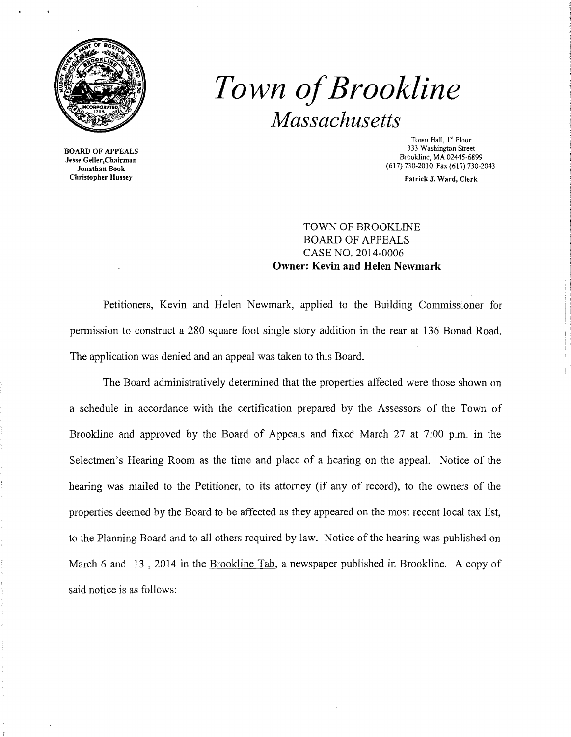

BOARD OF APPEALS Jesse Geller,Chairman Jonathan Book Christopher Hussey

# *Town ofBrookline Massachusetts*

Town Hall, 1<sup>st</sup> Floor 333 Washington Street Brookline, MA 02445-6899 (617) 730-2010 Fax (617) 730-2043

Patrick J. Ward, Clerk

## TOWN OF BROOKLINE BOARD OF APPEALS CASE NO. 2014-0006 **Owner: Kevin and Helen Newmark**

Petitioners, Kevin and Helen Newmark, applied to the Building Commissioner for permission to construct a 280 square foot single story addition in the rear at 136 Bonad Road. The application was denied and an appeal was taken to this Board.

The Board administratively determined that the properties affected were those shown on a schedule in accordance with the certification prepared by the Assessors of the Town of Brookline and approved by the Board of Appeals and fixed March 27 at 7:00 p.m. in the Selectmen's Hearing Room as the time and place of a hearing on the appeal. Notice of the hearing was mailed to the Petitioner, to its attorney (if any of record), to the owners of the properties deemed by the Board to be affected as they appeared on the most recent local tax list, to the Planning Board and to all others required by law. Notice of the hearing was published on March 6 and 13, 2014 in the Brookline Tab, a newspaper published in Brookline. A copy of said notice is as follows: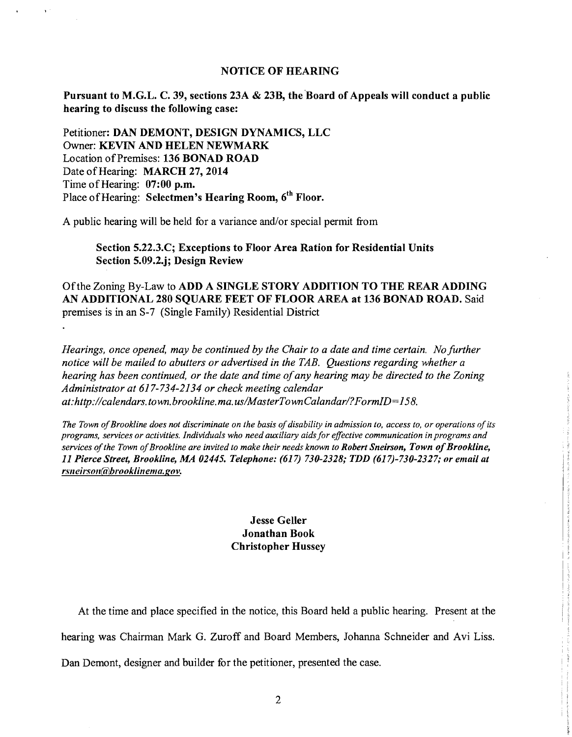#### NOTICE OF HEARING

Pursuant to M.G.L. C. 39, sections 23A & 23B, the Board of Appeals will conduct a public hearing to discuss the following case:

Petitioner: DAN DEMONT, DESIGN DYNAMICS, LLC Owner: KEVIN AND HELEN NEWMARK Location of Premises: 136 BONAD ROAD Date of Hearing: MARCH 27, 2014 Time of Hearing: 07:00 p.m. Place of Hearing: Selectmen's Hearing Room, 6<sup>th</sup> Floor.

A public hearing will be held for a variance and/or special permit from

Section 5.22.3.C; Exceptions to Floor Area Ration for Residential Units Section 5.09.2.j; Design Review

Ofthe Zoning By-Law to ADD A SINGLE STORY ADDITION TO THE REAR ADDING AN ADDITIONAL 280 SQUARE FEET OF FLOOR AREA at 136 BONAD ROAD. Said premises is in an S-7 (Single Family) Residential District

*Hearings, once opened, may be continued by the Chair to a date and time certain. No further notice will be mailed to abutters or advertised in the TAB. Questions regarding whether a hearing has been continued, or the date and time ofany hearing may be directed to the Zoning Administrator at* 617-734-2134 *or check meeting calendar at:http://calendars.town.brookline.ma.us/MasterTownCalandarl?FormID=158.* 

The Town of Brookline does not discriminate on the basis of disability in admission to, access to, or operations of its *programs, services or activities. Individuals who need auxiliary aids for effective communication in programs and services of the Town of Brookline are invited to make their needs known to Robert Sneirson, Town of Brookline, 11 Pierce Street, Brookline, MA 02445. Telephone:* (617) *730-2328; TDD (617)-730-2327; or email at r.meil'soll@hl'ooklinema.gov.* 

### **Jesse Geller** Jonathan Book Christopher Hussey

I' I I

At the time and place specified in the notice, this Board held a public hearing. Present at the hearing was Chairman Mark G. Zuroff and Board Members, Johanna Schneider and Avi Liss.

Dan Demont, designer and builder for the petitioner, presented the case.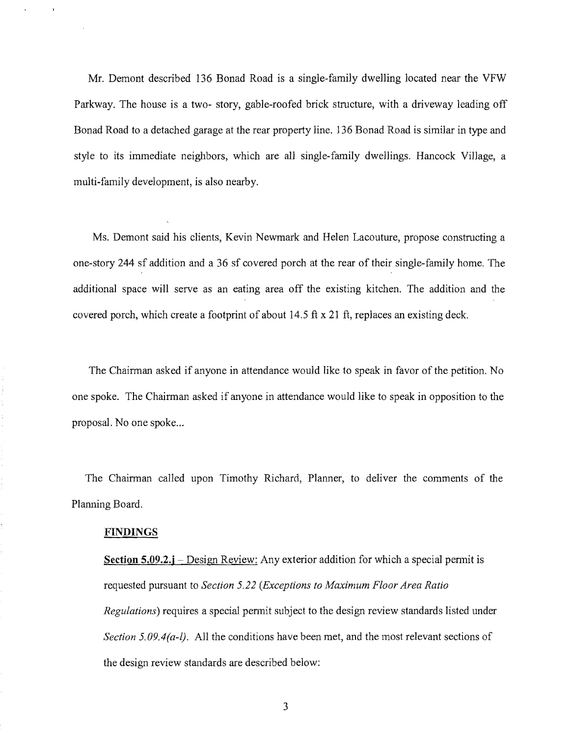Mr. Demont described 136 Bonad Road is a single-family dwelling located near the VFW Parkway. The house is a two- story, gable-roofed brick structure, with a driveway leading off Bonad Road to a detached garage at the rear property line. 136 Bonad Road is similar in type and style to its immediate neighbors, which are all single-family dwellings. Hancock Village, a multi-family development, is also nearby.

Ms. Demont said his clients, Kevin Newmark and Helen Lacouture, propose constructing a one-story 244 sf addition and a 36 sf covered porch at the rear of their single-family home. The additional space will serve as an eating area off the existing kitchen. The addition and the covered porch, which create a footprint of about 14.5 ft x 21 ft, replaces an existing deck.

The Chairman asked if anyone in attendance would like to speak in favor of the petition. No one spoke. The Chairman asked if anyone in attendance would like to speak in opposition to the proposal. No one spoke...

The Chairman called upon Timothy Richard, Planner, to deliver the comments of the Planning Board.

#### **FINDINGS**

**Section 5.09.2.j** – Design Review: Any exterior addition for which a special permit is requested pursuant to *Section* 5.22 *(Exceptions to Maximum Floor Area Ratio Regulations)* requires a special pennit subject to the design review standards listed under *Section 5.09.4(a-l).* All the conditions have been met, and the most relevant sections of the design review standards are described below:

3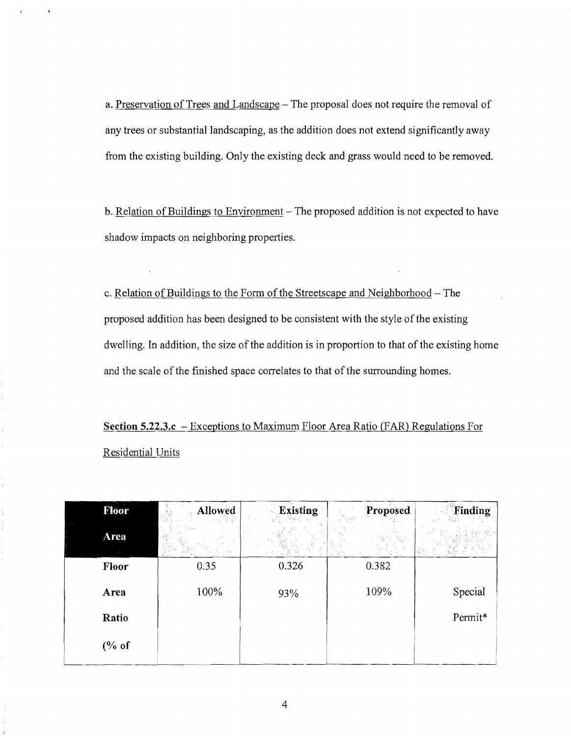a. Preservation of Trees and Landscape – The proposal does not require the removal of any trees or substantial landscaping, as the addition does not extend significantly away from the existing building. Only the existing deck and grass would need to be removed.

b. Relation of Buildings to Environment - The proposed addition is not expected to have shadow impacts on neighboring properties.

c. Relation of Buildings to the Form of the Streetscape and Neighborhood - The proposed addition has been designed to be consistent with the style of the existing dwelling. In addition, the size of the addition is in proportion to that of the existing home and the scale of the finished space correlates to that of the surrounding homes.

**Section S.22.3.c** - Exceptions to Maximum Floor Area Ratio (FAR) Regulations For Residential Units

| Floor    | Allowed | <b>Existing</b> | Proposed | Finding |
|----------|---------|-----------------|----------|---------|
| Area     |         |                 |          |         |
| Floor    | 0.35    | 0.326           | 0.382    |         |
| Area     | 100%    | 93%             | 109%     | Special |
| Ratio    |         |                 |          | Permit* |
| $(\%$ of |         |                 |          |         |

ý.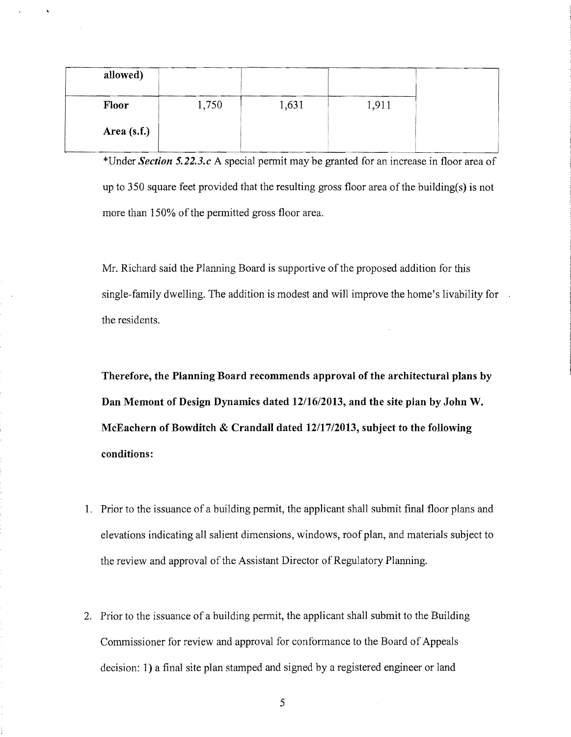| allowed)      |       |       |       |
|---------------|-------|-------|-------|
| Floor         | 1,750 | 1,631 | 1,911 |
| Area $(s.f.)$ |       |       |       |

\*Under *Section 5.22.3.c* A special permit may be granted for an increase in floor area of up to 350 square feet provided that the resulting gross floor area of the building(s) is not more than 150% of the permitted gross floor area.

Mr. Richard said the Planning Board is supportive of the proposed addition for this single-family dwelling. The addition is modest and will improve the home's livability for the residents.

**Therefore, the Planning Board recommends approval of the architectural plans by Dan Memont of Design Dynamics dated 12/16/2013, and the site plan by John W. McEachern of Bowditch & Crandall dated 12/17/2013, subject to the following conditions:** 

- 1. Prior to the issuance of a building permit, the applicant shall submit final floor plans and elevations indicating all salient dimensions, windows, roof plan, and materials subject to the review and approval of the Assistant Director of Regulatory Planning.
- 2. Prior to the issuance of a building permit, the applicant shall submit to the Building Commissioner for review and approval for confonnance to the Board of Appeals decision: 1) a final site plan stamped and signed by a registered engineer or land

5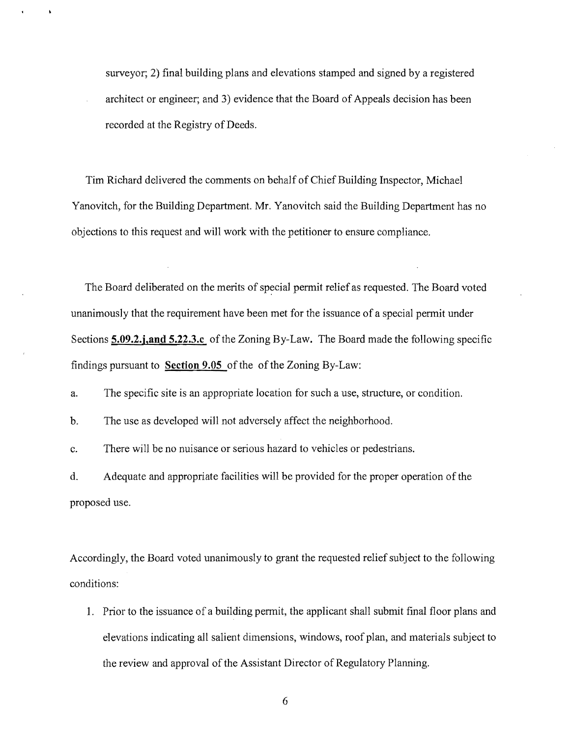surveyor; 2) final building plans and elevations stamped and signed by a registered architect or engineer; and 3) evidence that the Board of Appeals decision has been recorded at the Registry of Deeds.

Tim Richard delivered the comments on behalf of Chief Building Inspector, Michael Yanovitch, for the Building Department. Mr. Yanovitch said the Building Department has no objections to this request and will work with the petitioner to ensure compliance.

The Board deliberated on the merits of special permit relief as requested. The Board voted unanimously that the requirement have been met for the issuance of a special permit under Sections **5.09.2.j,and 5.22.3.c** of the Zoning By-Law. The Board made the following specific findings pursuant to **Section 9.05** of the of the Zoning By-Law:

a. The specific site is an appropriate location for such a use, structure, or condition.

b. The use as developed will not adversely affect the neighborhood.

c. There will be no nuisance or serious hazard to vehicles or pedestrians.

d. Adequate and appropriate facilities will be provided for the proper operation of the proposed use.

Accordingly, the Board voted unanimously to grant the requested relief subject to the following conditions:

1. Prior to the issuance of a building permit, the applicant shall submit final floor plans and elevations indicating all salient dimensions, windows, roof plan, and materials subject to the review and approval of the Assistant Director of Regulatory Planning.

6